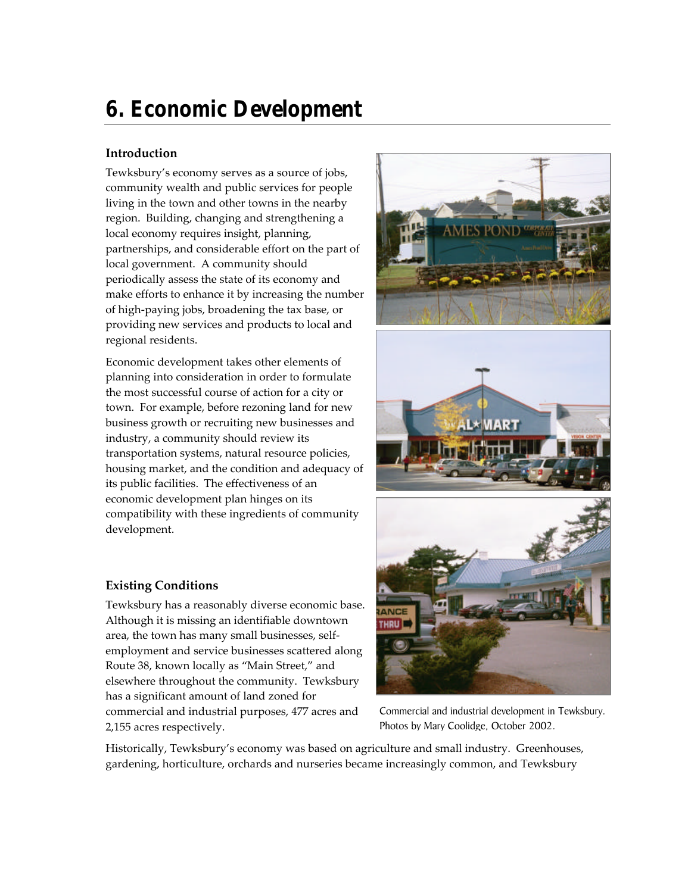# **6. Economic Development**

# **Introduction**

Tewksbury's economy serves as a source of jobs, community wealth and public services for people living in the town and other towns in the nearby region. Building, changing and strengthening a local economy requires insight, planning, partnerships, and considerable effort on the part of local government. A community should periodically assess the state of its economy and make efforts to enhance it by increasing the number of high-paying jobs, broadening the tax base, or providing new services and products to local and regional residents.

Economic development takes other elements of planning into consideration in order to formulate the most successful course of action for a city or town. For example, before rezoning land for new business growth or recruiting new businesses and industry, a community should review its transportation systems, natural resource policies, housing market, and the condition and adequacy of its public facilities. The effectiveness of an economic development plan hinges on its compatibility with these ingredients of community development.

# **Existing Conditions**

Tewksbury has a reasonably diverse economic base. Although it is missing an identifiable downtown area, the town has many small businesses, selfemployment and service businesses scattered along Route 38, known locally as "Main Street," and elsewhere throughout the community. Tewksbury has a significant amount of land zoned for commercial and industrial purposes, 477 acres and 2,155 acres respectively.







Commercial and industrial development in Tewksbury. Photos by Mary Coolidge, October 2002.

Historically, Tewksbury's economy was based on agriculture and small industry. Greenhouses, gardening, horticulture, orchards and nurseries became increasingly common, and Tewksbury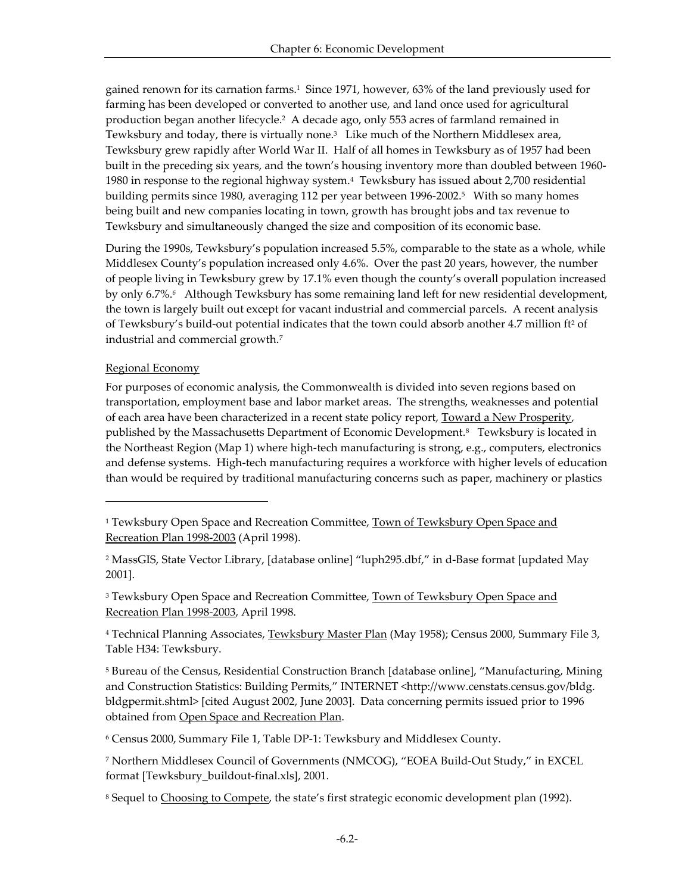gained renown for its carnation farms.<sup>1</sup> Since 1971, however, 63% of the land previously used for farming has been developed or converted to another use, and land once used for agricultural production began another lifecycle.<sup>2</sup> A decade ago, only 553 acres of farmland remained in Tewksbury and today, there is virtually none.<sup>3</sup> Like much of the Northern Middlesex area, Tewksbury grew rapidly after World War II. Half of all homes in Tewksbury as of 1957 had been built in the preceding six years, and the town's housing inventory more than doubled between 1960- 1980 in response to the regional highway system.<sup>4</sup> Tewksbury has issued about 2,700 residential building permits since 1980, averaging 112 per year between 1996-2002.<sup>5</sup> With so many homes being built and new companies locating in town, growth has brought jobs and tax revenue to Tewksbury and simultaneously changed the size and composition of its economic base.

During the 1990s, Tewksbury's population increased 5.5%, comparable to the state as a whole, while Middlesex County's population increased only 4.6%. Over the past 20 years, however, the number of people living in Tewksbury grew by 17.1% even though the county's overall population increased by only 6.7%.*<sup>6</sup>* Although Tewksbury has some remaining land left for new residential development, the town is largely built out except for vacant industrial and commercial parcels. A recent analysis of Tewksbury's build-out potential indicates that the town could absorb another 4.7 million ft<sup>2</sup> of industrial and commercial growth.<sup>7</sup>

# Regional Economy

l

For purposes of economic analysis, the Commonwealth is divided into seven regions based on transportation, employment base and labor market areas. The strengths, weaknesses and potential of each area have been characterized in a recent state policy report, Toward a New Prosperity, published by the Massachusetts Department of Economic Development.<sup>8</sup> Tewksbury is located in the Northeast Region (Map 1) where high-tech manufacturing is strong, e.g., computers, electronics and defense systems. High-tech manufacturing requires a workforce with higher levels of education than would be required by traditional manufacturing concerns such as paper, machinery or plastics

2 MassGIS, State Vector Library, [database online] "luph295.dbf," in d-Base format [updated May 2001].

<sup>3</sup> Tewksbury Open Space and Recreation Committee, <u>Town of Tewksbury Open Space and</u> Recreation Plan 1998-2003, April 1998.

<sup>4</sup> Technical Planning Associates, <u>Tewksbury Master Plan</u> (May 1958); Census 2000, Summary File 3, Table H34: Tewksbury.

<sup>5</sup> Bureau of the Census, Residential Construction Branch [database online], "Manufacturing, Mining and Construction Statistics: Building Permits," INTERNET <http://www.censtats.census.gov/bldg. bldgpermit.shtml> [cited August 2002, June 2003]. Data concerning permits issued prior to 1996 obtained from Open Space and Recreation Plan.

6 Census 2000, Summary File 1, Table DP-1: Tewksbury and Middlesex County.

7 Northern Middlesex Council of Governments (NMCOG), "EOEA Build-Out Study," in EXCEL format [Tewksbury\_buildout-final.xls], 2001.

<sup>8</sup> Sequel to <u>Choosing to Compete</u>, the state's first strategic economic development plan (1992).

<sup>&</sup>lt;sup>1</sup> Tewksbury Open Space and Recreation Committee, Town of Tewksbury Open Space and Recreation Plan 1998-2003 (April 1998).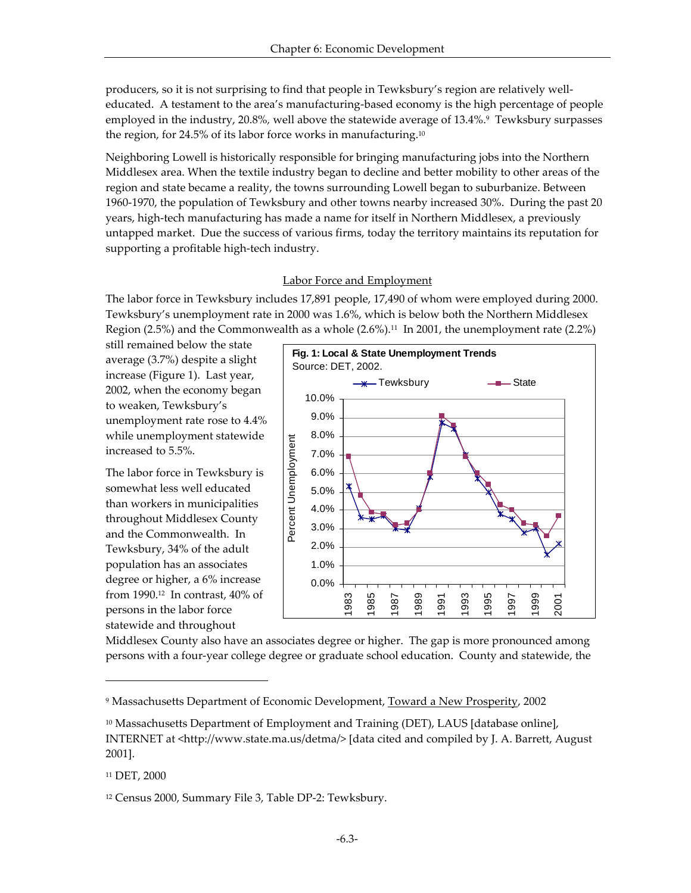producers, so it is not surprising to find that people in Tewksbury's region are relatively welleducated. A testament to the area's manufacturing-based economy is the high percentage of people employed in the industry, 20.8%, well above the statewide average of 13.4%.<sup>9</sup> Tewksbury surpasses the region, for 24.5% of its labor force works in manufacturing.<sup>10</sup>

Neighboring Lowell is historically responsible for bringing manufacturing jobs into the Northern Middlesex area. When the textile industry began to decline and better mobility to other areas of the region and state became a reality, the towns surrounding Lowell began to suburbanize. Between 1960-1970, the population of Tewksbury and other towns nearby increased 30%. During the past 20 years, high-tech manufacturing has made a name for itself in Northern Middlesex, a previously untapped market. Due the success of various firms, today the territory maintains its reputation for supporting a profitable high-tech industry.

## Labor Force and Employment

The labor force in Tewksbury includes 17,891 people, 17,490 of whom were employed during 2000. Tewksbury's unemployment rate in 2000 was 1.6%, which is below both the Northern Middlesex Region (2.5%) and the Commonwealth as a whole  $(2.6\%)$ .<sup>11</sup> In 2001, the unemployment rate (2.2%)

still remained below the state average (3.7%) despite a slight increase (Figure 1). Last year, 2002, when the economy began to weaken, Tewksbury's unemployment rate rose to 4.4% while unemployment statewide increased to 5.5%.

The labor force in Tewksbury is somewhat less well educated than workers in municipalities throughout Middlesex County and the Commonwealth. In Tewksbury, 34% of the adult population has an associates degree or higher, a 6% increase from 1990.12 In contrast, 40% of persons in the labor force statewide and throughout



Middlesex County also have an associates degree or higher. The gap is more pronounced among persons with a four-year college degree or graduate school education. County and statewide, the

<sup>11</sup> DET, 2000

<sup>&</sup>lt;sup>9</sup> Massachusetts Department of Economic Development, <u>Toward a New Prosperity</u>, 2002

<sup>&</sup>lt;sup>10</sup> Massachusetts Department of Employment and Training (DET), LAUS [database online], INTERNET at <http://www.state.ma.us/detma/> [data cited and compiled by J. A. Barrett, August 2001].

<sup>12</sup> Census 2000, Summary File 3, Table DP-2: Tewksbury.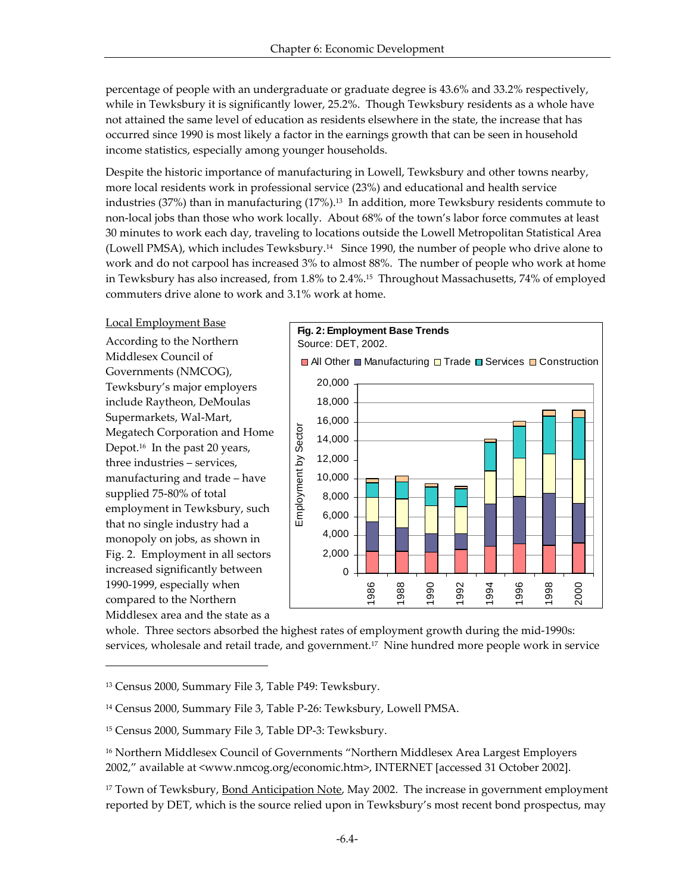percentage of people with an undergraduate or graduate degree is 43.6% and 33.2% respectively, while in Tewksbury it is significantly lower, 25.2%. Though Tewksbury residents as a whole have not attained the same level of education as residents elsewhere in the state, the increase that has occurred since 1990 is most likely a factor in the earnings growth that can be seen in household income statistics, especially among younger households.

Despite the historic importance of manufacturing in Lowell, Tewksbury and other towns nearby, more local residents work in professional service (23%) and educational and health service industries (37%) than in manufacturing  $(17\%)$ .<sup>13</sup> In addition, more Tewksbury residents commute to non-local jobs than those who work locally. About 68% of the town's labor force commutes at least 30 minutes to work each day, traveling to locations outside the Lowell Metropolitan Statistical Area (Lowell PMSA), which includes Tewksbury.14 Since 1990, the number of people who drive alone to work and do not carpool has increased 3% to almost 88%. The number of people who work at home in Tewksbury has also increased, from 1.8% to 2.4%. <sup>15</sup> Throughout Massachusetts, 74% of employed commuters drive alone to work and 3.1% work at home.

#### Local Employment Base

According to the Northern Middlesex Council of Governments (NMCOG), Tewksbury's major employers include Raytheon, DeMoulas Supermarkets, Wal-Mart, Megatech Corporation and Home Depot.16 In the past 20 years, three industries – services, manufacturing and trade – have supplied 75-80% of total employment in Tewksbury, such that no single industry had a monopoly on jobs, as shown in Fig. 2. Employment in all sectors increased significantly between 1990-1999, especially when compared to the Northern Middlesex area and the state as a

l



whole. Three sectors absorbed the highest rates of employment growth during the mid-1990s: services, wholesale and retail trade, and government.<sup>17</sup> Nine hundred more people work in service

<sup>13</sup> Census 2000, Summary File 3, Table P49: Tewksbury.

<sup>14</sup> Census 2000, Summary File 3, Table P-26: Tewksbury, Lowell PMSA.

<sup>15</sup> Census 2000, Summary File 3, Table DP-3: Tewksbury.

<sup>16</sup> Northern Middlesex Council of Governments "Northern Middlesex Area Largest Employers 2002," available at <www.nmcog.org/economic.htm>, INTERNET [accessed 31 October 2002].

<sup>&</sup>lt;sup>17</sup> Town of Tewksbury, Bond Anticipation Note, May 2002. The increase in government employment reported by DET, which is the source relied upon in Tewksbury's most recent bond prospectus, may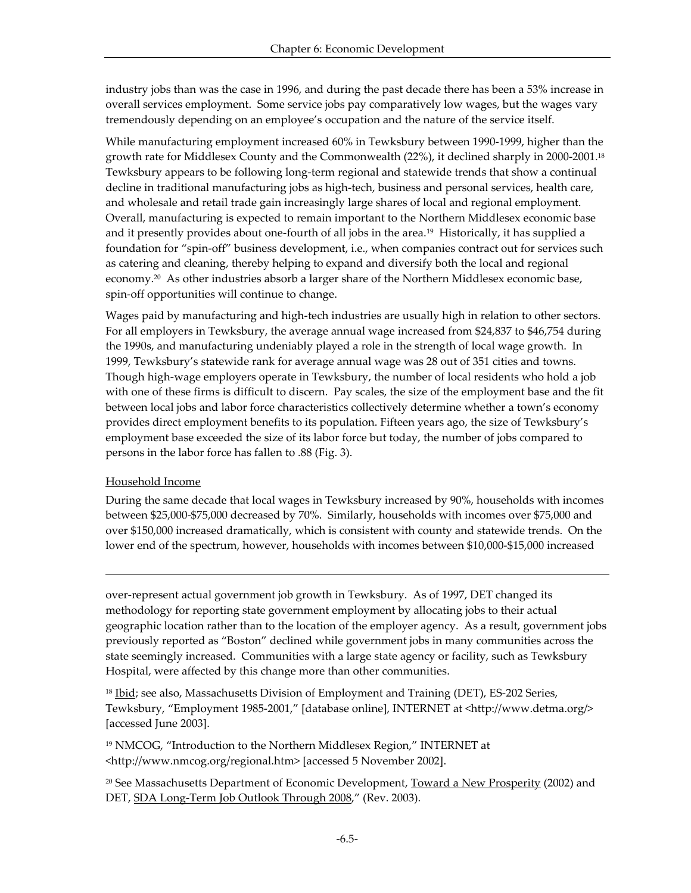industry jobs than was the case in 1996, and during the past decade there has been a 53% increase in overall services employment. Some service jobs pay comparatively low wages, but the wages vary tremendously depending on an employee's occupation and the nature of the service itself.

While manufacturing employment increased 60% in Tewksbury between 1990-1999, higher than the growth rate for Middlesex County and the Commonwealth (22%), it declined sharply in 2000-2001.<sup>18</sup> Tewksbury appears to be following long-term regional and statewide trends that show a continual decline in traditional manufacturing jobs as high-tech, business and personal services, health care, and wholesale and retail trade gain increasingly large shares of local and regional employment. Overall, manufacturing is expected to remain important to the Northern Middlesex economic base and it presently provides about one-fourth of all jobs in the area.19 Historically, it has supplied a foundation for "spin-off" business development, i.e., when companies contract out for services such as catering and cleaning, thereby helping to expand and diversify both the local and regional economy.<sup>20</sup> As other industries absorb a larger share of the Northern Middlesex economic base, spin-off opportunities will continue to change.

Wages paid by manufacturing and high-tech industries are usually high in relation to other sectors. For all employers in Tewksbury, the average annual wage increased from \$24,837 to \$46,754 during the 1990s, and manufacturing undeniably played a role in the strength of local wage growth. In 1999, Tewksbury's statewide rank for average annual wage was 28 out of 351 cities and towns. Though high-wage employers operate in Tewksbury, the number of local residents who hold a job with one of these firms is difficult to discern. Pay scales, the size of the employment base and the fit between local jobs and labor force characteristics collectively determine whether a town's economy provides direct employment benefits to its population. Fifteen years ago, the size of Tewksbury's employment base exceeded the size of its labor force but today, the number of jobs compared to persons in the labor force has fallen to .88 (Fig. 3).

## Household Income

l

During the same decade that local wages in Tewksbury increased by 90%, households with incomes between \$25,000-\$75,000 decreased by 70%. Similarly, households with incomes over \$75,000 and over \$150,000 increased dramatically, which is consistent with county and statewide trends. On the lower end of the spectrum, however, households with incomes between \$10,000-\$15,000 increased

over-represent actual government job growth in Tewksbury. As of 1997, DET changed its methodology for reporting state government employment by allocating jobs to their actual geographic location rather than to the location of the employer agency. As a result, government jobs previously reported as "Boston" declined while government jobs in many communities across the state seemingly increased. Communities with a large state agency or facility, such as Tewksbury Hospital, were affected by this change more than other communities.

<sup>18</sup> Ibid; see also, Massachusetts Division of Employment and Training (DET), ES-202 Series, Tewksbury, "Employment 1985-2001," [database online], INTERNET at <http://www.detma.org/> [accessed June 2003].

<sup>19</sup> NMCOG, "Introduction to the Northern Middlesex Region," INTERNET at <http://www.nmcog.org/regional.htm> [accessed 5 November 2002].

 $20$  See Massachusetts Department of Economic Development, Toward a New Prosperity (2002) and DET, SDA Long-Term Job Outlook Through 2008," (Rev. 2003).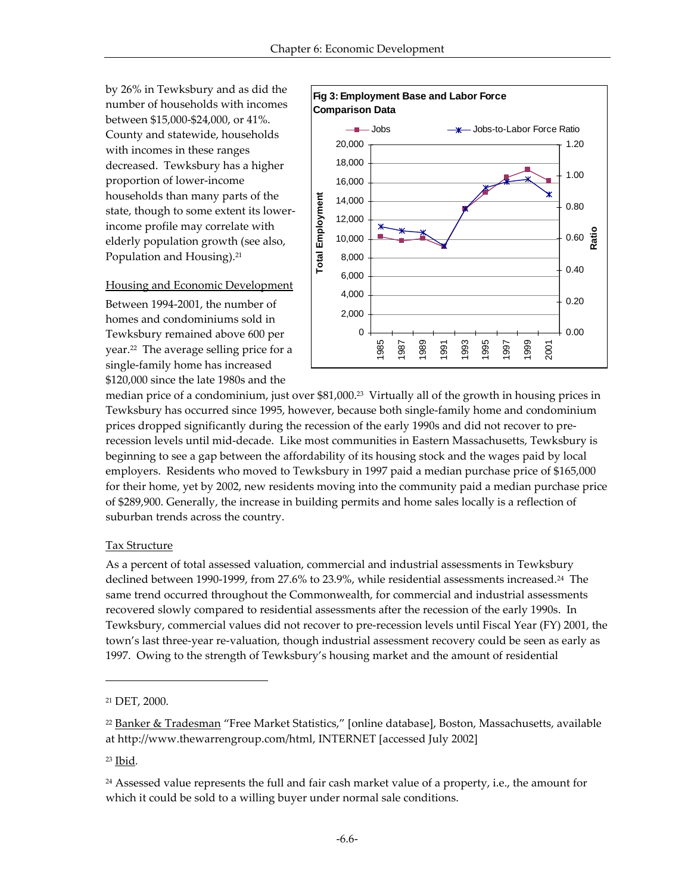by 26% in Tewksbury and as did the number of households with incomes between \$15,000-\$24,000, or 41%. County and statewide, households with incomes in these ranges decreased. Tewksbury has a higher proportion of lower-income households than many parts of the state, though to some extent its lowerincome profile may correlate with elderly population growth (see also, Population and Housing).<sup>21</sup>

## Housing and Economic Development

Between 1994-2001, the number of homes and condominiums sold in Tewksbury remained above 600 per year.22 The average selling price for a single-family home has increased \$120,000 since the late 1980s and the



median price of a condominium, just over \$81,000.<sup>23</sup> Virtually all of the growth in housing prices in Tewksbury has occurred since 1995, however, because both single-family home and condominium prices dropped significantly during the recession of the early 1990s and did not recover to prerecession levels until mid-decade. Like most communities in Eastern Massachusetts, Tewksbury is beginning to see a gap between the affordability of its housing stock and the wages paid by local employers. Residents who moved to Tewksbury in 1997 paid a median purchase price of \$165,000 for their home, yet by 2002, new residents moving into the community paid a median purchase price of \$289,900. Generally, the increase in building permits and home sales locally is a reflection of suburban trends across the country.

## Tax Structure

As a percent of total assessed valuation, commercial and industrial assessments in Tewksbury declined between 1990-1999, from 27.6% to 23.9%, while residential assessments increased.<sup>24</sup> The same trend occurred throughout the Commonwealth, for commercial and industrial assessments recovered slowly compared to residential assessments after the recession of the early 1990s. In Tewksbury, commercial values did not recover to pre-recession levels until Fiscal Year (FY) 2001, the town's last three-year re-valuation, though industrial assessment recovery could be seen as early as 1997. Owing to the strength of Tewksbury's housing market and the amount of residential

<sup>23</sup> Ibid*.*

<sup>21</sup> DET, 2000.

<sup>22</sup> Banker & Tradesman "Free Market Statistics," [online database], Boston, Massachusetts, available at http://www.thewarrengroup.com/html, INTERNET [accessed July 2002]

 $24$  Assessed value represents the full and fair cash market value of a property, i.e., the amount for which it could be sold to a willing buyer under normal sale conditions.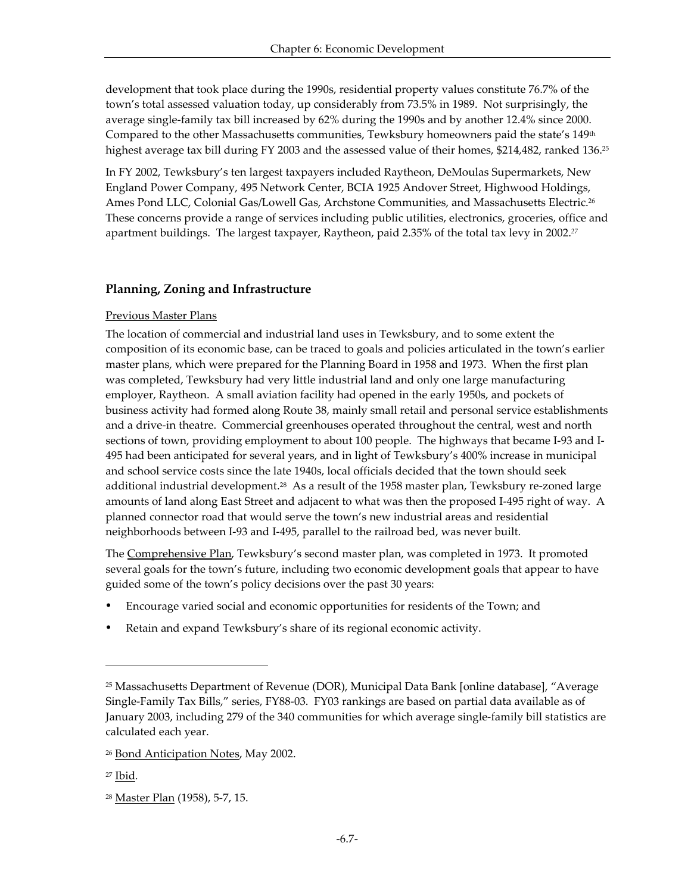development that took place during the 1990s, residential property values constitute 76.7% of the town's total assessed valuation today, up considerably from 73.5% in 1989. Not surprisingly, the average single-family tax bill increased by 62% during the 1990s and by another 12.4% since 2000. Compared to the other Massachusetts communities, Tewksbury homeowners paid the state's 149<sup>th</sup> highest average tax bill during FY 2003 and the assessed value of their homes, \$214,482, ranked 136.<sup>25</sup>

In FY 2002, Tewksbury's ten largest taxpayers included Raytheon, DeMoulas Supermarkets, New England Power Company, 495 Network Center, BCIA 1925 Andover Street, Highwood Holdings, Ames Pond LLC, Colonial Gas/Lowell Gas, Archstone Communities, and Massachusetts Electric.<sup>26</sup> These concerns provide a range of services including public utilities, electronics, groceries, office and apartment buildings. The largest taxpayer, Raytheon, paid 2.35% of the total tax levy in 2002.*<sup>27</sup>*

# **Planning, Zoning and Infrastructure**

## Previous Master Plans

The location of commercial and industrial land uses in Tewksbury, and to some extent the composition of its economic base, can be traced to goals and policies articulated in the town's earlier master plans, which were prepared for the Planning Board in 1958 and 1973. When the first plan was completed, Tewksbury had very little industrial land and only one large manufacturing employer, Raytheon. A small aviation facility had opened in the early 1950s, and pockets of business activity had formed along Route 38, mainly small retail and personal service establishments and a drive-in theatre. Commercial greenhouses operated throughout the central, west and north sections of town, providing employment to about 100 people. The highways that became I-93 and I-495 had been anticipated for several years, and in light of Tewksbury's 400% increase in municipal and school service costs since the late 1940s, local officials decided that the town should seek additional industrial development.<sup>28</sup> As a result of the 1958 master plan, Tewksbury re-zoned large amounts of land along East Street and adjacent to what was then the proposed I-495 right of way. A planned connector road that would serve the town's new industrial areas and residential neighborhoods between I-93 and I-495, parallel to the railroad bed, was never built.

The Comprehensive Plan, Tewksbury's second master plan, was completed in 1973. It promoted several goals for the town's future, including two economic development goals that appear to have guided some of the town's policy decisions over the past 30 years:

- ü Encourage varied social and economic opportunities for residents of the Town; and
- Retain and expand Tewksbury's share of its regional economic activity.

l

<sup>25</sup> Massachusetts Department of Revenue (DOR), Municipal Data Bank [online database], "Average Single-Family Tax Bills," series, FY88-03. FY03 rankings are based on partial data available as of January 2003, including 279 of the 340 communities for which average single-family bill statistics are calculated each year.

<sup>26</sup> Bond Anticipation Notes, May 2002.

<sup>27</sup> Ibid*.*

<sup>28</sup> Master Plan (1958), 5-7, 15.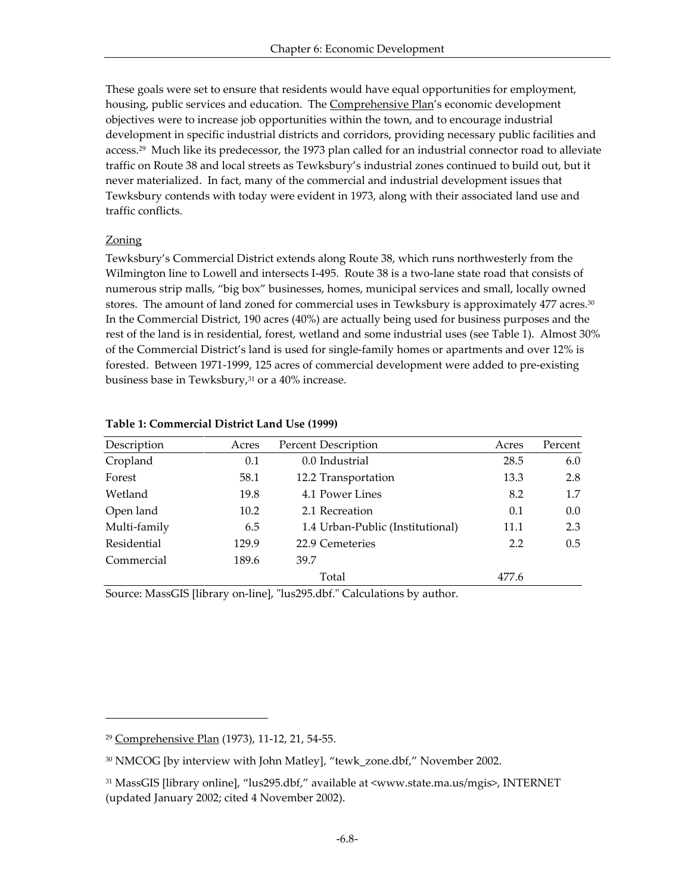These goals were set to ensure that residents would have equal opportunities for employment, housing, public services and education. The **Comprehensive Plan's economic development** objectives were to increase job opportunities within the town, and to encourage industrial development in specific industrial districts and corridors, providing necessary public facilities and access.29 Much like its predecessor, the 1973 plan called for an industrial connector road to alleviate traffic on Route 38 and local streets as Tewksbury's industrial zones continued to build out, but it never materialized. In fact, many of the commercial and industrial development issues that Tewksbury contends with today were evident in 1973, along with their associated land use and traffic conflicts.

#### Zoning

-

Tewksbury's Commercial District extends along Route 38, which runs northwesterly from the Wilmington line to Lowell and intersects I-495. Route 38 is a two-lane state road that consists of numerous strip malls, "big box" businesses, homes, municipal services and small, locally owned stores. The amount of land zoned for commercial uses in Tewksbury is approximately 477 acres.<sup>30</sup> In the Commercial District, 190 acres (40%) are actually being used for business purposes and the rest of the land is in residential, forest, wetland and some industrial uses (see Table 1). Almost 30% of the Commercial District's land is used for single-family homes or apartments and over 12% is forested. Between 1971-1999, 125 acres of commercial development were added to pre-existing business base in Tewksbury, $31$  or a 40% increase.

| Description  | Acres | <b>Percent Description</b>       | Acres | Percent |
|--------------|-------|----------------------------------|-------|---------|
| Cropland     | 0.1   | 0.0 Industrial                   | 28.5  | 6.0     |
| Forest       | 58.1  | 12.2 Transportation              | 13.3  | 2.8     |
| Wetland      | 19.8  | 4.1 Power Lines                  | 8.2   | 1.7     |
| Open land    | 10.2  | 2.1 Recreation                   | 0.1   | 0.0     |
| Multi-family | 6.5   | 1.4 Urban-Public (Institutional) | 11.1  | 2.3     |
| Residential  | 129.9 | 22.9 Cemeteries                  | 2.2   | 0.5     |
| Commercial   | 189.6 | 39.7                             |       |         |
|              |       | Total                            | 477.6 |         |

#### **Table 1: Commercial District Land Use (1999)**

Source: MassGIS [library on-line], "lus295.dbf." Calculations by author.

<sup>29</sup> Comprehensive Plan (1973), 11-12, 21, 54-55.

<sup>30</sup> NMCOG [by interview with John Matley], "tewk\_zone.dbf," November 2002.

<sup>31</sup> MassGIS [library online], "lus295.dbf," available at <www.state.ma.us/mgis>, INTERNET (updated January 2002; cited 4 November 2002).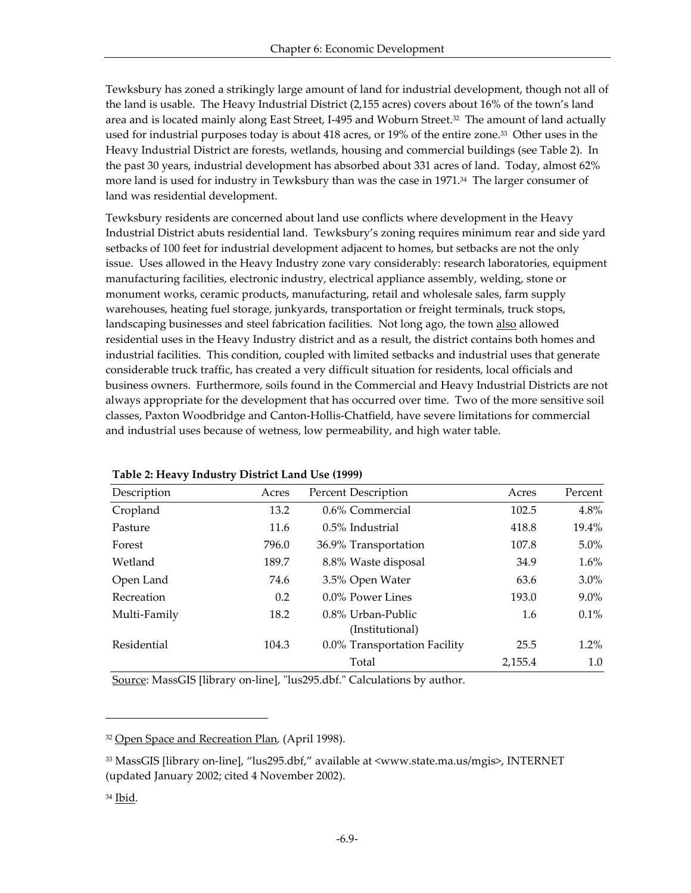Tewksbury has zoned a strikingly large amount of land for industrial development, though not all of the land is usable. The Heavy Industrial District (2,155 acres) covers about 16% of the town's land area and is located mainly along East Street, I-495 and Woburn Street.32 The amount of land actually used for industrial purposes today is about 418 acres, or 19% of the entire zone.33 Other uses in the Heavy Industrial District are forests, wetlands, housing and commercial buildings (see Table 2). In the past 30 years, industrial development has absorbed about 331 acres of land. Today, almost 62% more land is used for industry in Tewksbury than was the case in 1971.<sup>34</sup> The larger consumer of land was residential development.

Tewksbury residents are concerned about land use conflicts where development in the Heavy Industrial District abuts residential land. Tewksbury's zoning requires minimum rear and side yard setbacks of 100 feet for industrial development adjacent to homes, but setbacks are not the only issue. Uses allowed in the Heavy Industry zone vary considerably: research laboratories, equipment manufacturing facilities, electronic industry, electrical appliance assembly, welding, stone or monument works, ceramic products, manufacturing, retail and wholesale sales, farm supply warehouses, heating fuel storage, junkyards, transportation or freight terminals, truck stops, landscaping businesses and steel fabrication facilities. Not long ago, the town also allowed residential uses in the Heavy Industry district and as a result, the district contains both homes and industrial facilities. This condition, coupled with limited setbacks and industrial uses that generate considerable truck traffic, has created a very difficult situation for residents, local officials and business owners. Furthermore, soils found in the Commercial and Heavy Industrial Districts are not always appropriate for the development that has occurred over time. Two of the more sensitive soil classes, Paxton Woodbridge and Canton-Hollis-Chatfield, have severe limitations for commercial and industrial uses because of wetness, low permeability, and high water table.

| Description  | Acres | <b>Percent Description</b>           | Acres   | Percent |
|--------------|-------|--------------------------------------|---------|---------|
| Cropland     | 13.2  | 0.6% Commercial                      | 102.5   | $4.8\%$ |
| Pasture      | 11.6  | 0.5% Industrial                      | 418.8   | 19.4%   |
| Forest       | 796.0 | 36.9% Transportation                 | 107.8   | $5.0\%$ |
| Wetland      | 189.7 | 8.8% Waste disposal                  | 34.9    | $1.6\%$ |
| Open Land    | 74.6  | 3.5% Open Water                      | 63.6    | $3.0\%$ |
| Recreation   | 0.2   | 0.0% Power Lines                     | 193.0   | $9.0\%$ |
| Multi-Family | 18.2  | 0.8% Urban-Public<br>(Institutional) | 1.6     | $0.1\%$ |
| Residential  | 104.3 | 0.0% Transportation Facility         | 25.5    | $1.2\%$ |
|              |       | Total                                | 2,155.4 | 1.0     |

## **Table 2: Heavy Industry District Land Use (1999)**

Source: MassGIS [library on-line], "lus295.dbf." Calculations by author.

<sup>32</sup> Open Space and Recreation Plan*,* (April 1998).

<sup>33</sup> MassGIS [library on-line], "lus295.dbf," available at <www.state.ma.us/mgis>, INTERNET (updated January 2002; cited 4 November 2002).

<sup>34</sup> Ibid*.*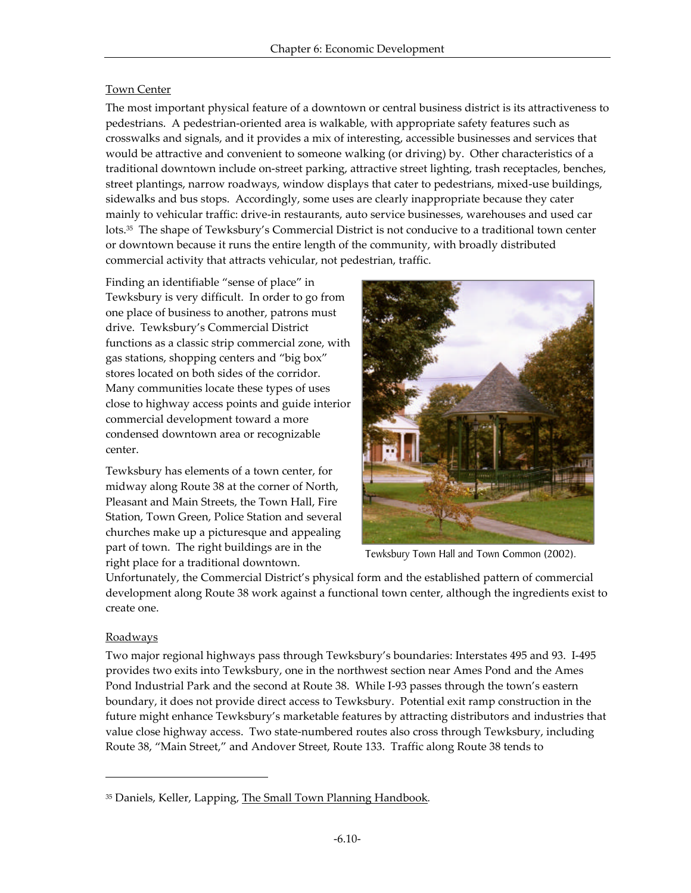## Town Center

The most important physical feature of a downtown or central business district is its attractiveness to pedestrians. A pedestrian-oriented area is walkable, with appropriate safety features such as crosswalks and signals, and it provides a mix of interesting, accessible businesses and services that would be attractive and convenient to someone walking (or driving) by. Other characteristics of a traditional downtown include on-street parking, attractive street lighting, trash receptacles, benches, street plantings, narrow roadways, window displays that cater to pedestrians, mixed-use buildings, sidewalks and bus stops. Accordingly, some uses are clearly inappropriate because they cater mainly to vehicular traffic: drive-in restaurants, auto service businesses, warehouses and used car lots.35 The shape of Tewksbury's Commercial District is not conducive to a traditional town center or downtown because it runs the entire length of the community, with broadly distributed commercial activity that attracts vehicular, not pedestrian, traffic.

Finding an identifiable "sense of place" in Tewksbury is very difficult. In order to go from one place of business to another, patrons must drive. Tewksbury's Commercial District functions as a classic strip commercial zone, with gas stations, shopping centers and "big box" stores located on both sides of the corridor. Many communities locate these types of uses close to highway access points and guide interior commercial development toward a more condensed downtown area or recognizable center.

Tewksbury has elements of a town center, for midway along Route 38 at the corner of North, Pleasant and Main Streets, the Town Hall, Fire Station, Town Green, Police Station and several churches make up a picturesque and appealing part of town. The right buildings are in the right place for a traditional downtown.



Tewksbury Town Hall and Town Common (2002).

Unfortunately, the Commercial District's physical form and the established pattern of commercial development along Route 38 work against a functional town center, although the ingredients exist to create one.

## Roadways

-

Two major regional highways pass through Tewksbury's boundaries: Interstates 495 and 93. I-495 provides two exits into Tewksbury, one in the northwest section near Ames Pond and the Ames Pond Industrial Park and the second at Route 38. While I-93 passes through the town's eastern boundary, it does not provide direct access to Tewksbury. Potential exit ramp construction in the future might enhance Tewksbury's marketable features by attracting distributors and industries that value close highway access. Two state-numbered routes also cross through Tewksbury, including Route 38, "Main Street," and Andover Street, Route 133. Traffic along Route 38 tends to

<sup>35</sup> Daniels, Keller, Lapping, The Small Town Planning Handbook*.*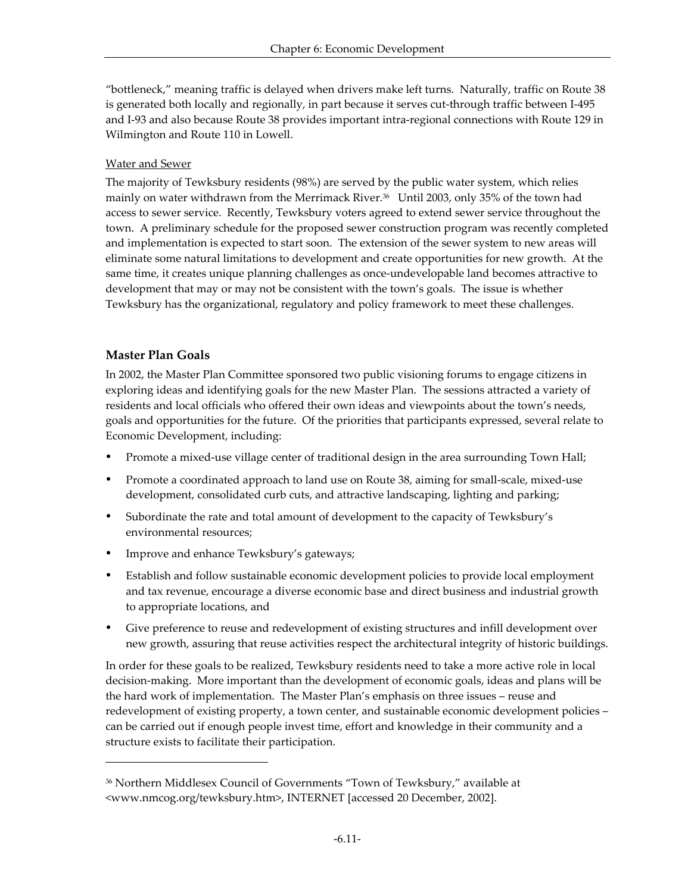"bottleneck," meaning traffic is delayed when drivers make left turns. Naturally, traffic on Route 38 is generated both locally and regionally, in part because it serves cut-through traffic between I-495 and I-93 and also because Route 38 provides important intra-regional connections with Route 129 in Wilmington and Route 110 in Lowell.

## Water and Sewer

The majority of Tewksbury residents (98%) are served by the public water system, which relies mainly on water withdrawn from the Merrimack River.36 Until 2003, only 35% of the town had access to sewer service. Recently, Tewksbury voters agreed to extend sewer service throughout the town. A preliminary schedule for the proposed sewer construction program was recently completed and implementation is expected to start soon. The extension of the sewer system to new areas will eliminate some natural limitations to development and create opportunities for new growth. At the same time, it creates unique planning challenges as once-undevelopable land becomes attractive to development that may or may not be consistent with the town's goals. The issue is whether Tewksbury has the organizational, regulatory and policy framework to meet these challenges.

# **Master Plan Goals**

-

In 2002, the Master Plan Committee sponsored two public visioning forums to engage citizens in exploring ideas and identifying goals for the new Master Plan. The sessions attracted a variety of residents and local officials who offered their own ideas and viewpoints about the town's needs, goals and opportunities for the future. Of the priorities that participants expressed, several relate to Economic Development, including:

- Promote a mixed-use village center of traditional design in the area surrounding Town Hall;
- Promote a coordinated approach to land use on Route 38, aiming for small-scale, mixed-use development, consolidated curb cuts, and attractive landscaping, lighting and parking;
- ü Subordinate the rate and total amount of development to the capacity of Tewksbury's environmental resources;
- Improve and enhance Tewksbury's gateways;
- ü Establish and follow sustainable economic development policies to provide local employment and tax revenue, encourage a diverse economic base and direct business and industrial growth to appropriate locations, and
- Give preference to reuse and redevelopment of existing structures and infill development over new growth, assuring that reuse activities respect the architectural integrity of historic buildings.

In order for these goals to be realized, Tewksbury residents need to take a more active role in local decision-making. More important than the development of economic goals, ideas and plans will be the hard work of implementation. The Master Plan's emphasis on three issues – reuse and redevelopment of existing property, a town center, and sustainable economic development policies – can be carried out if enough people invest time, effort and knowledge in their community and a structure exists to facilitate their participation.

<sup>36</sup> Northern Middlesex Council of Governments "Town of Tewksbury," available at <www.nmcog.org/tewksbury.htm>, INTERNET [accessed 20 December, 2002].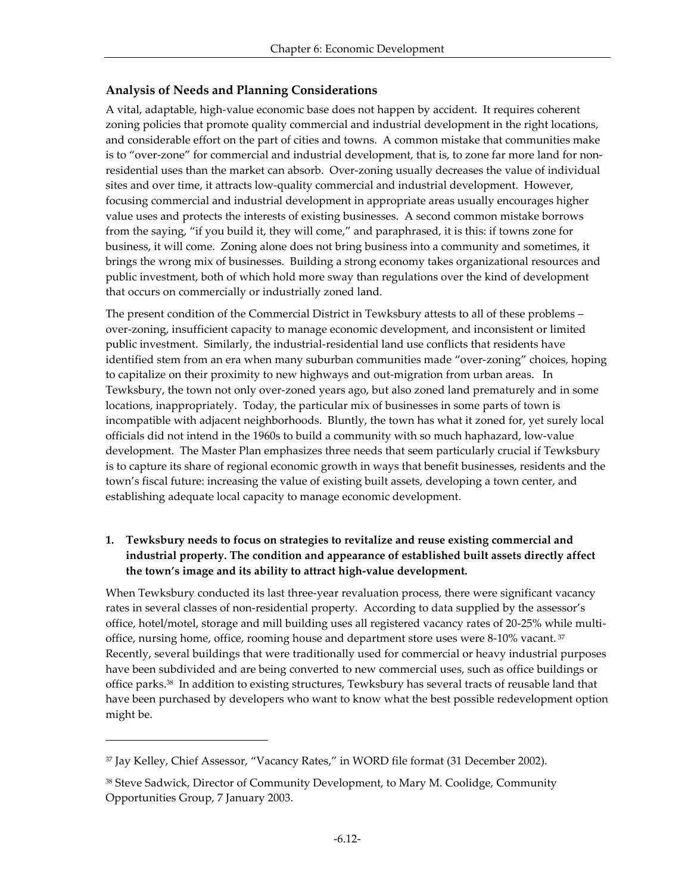# **Analysis of Needs and Planning Considerations**

A vital, adaptable, high-value economic base does not happen by accident. It requires coherent zoning policies that promote quality commercial and industrial development in the right locations, and considerable effort on the part of cities and towns. A common mistake that communities make is to "over-zone" for commercial and industrial development, that is, to zone far more land for nonresidential uses than the market can absorb. Over-zoning usually decreases the value of individual sites and over time, it attracts low-quality commercial and industrial development. However, focusing commercial and industrial development in appropriate areas usually encourages higher value uses and protects the interests of existing businesses. A second common mistake borrows from the saying, "if you build it, they will come," and paraphrased, it is this: if towns zone for business, it will come. Zoning alone does not bring business into a community and sometimes, it brings the wrong mix of businesses. Building a strong economy takes organizational resources and public investment, both of which hold more sway than regulations over the kind of development that occurs on commercially or industrially zoned land.

The present condition of the Commercial District in Tewksbury attests to all of these problems – over-zoning, insufficient capacity to manage economic development, and inconsistent or limited public investment. Similarly, the industrial-residential land use conflicts that residents have identified stem from an era when many suburban communities made "over-zoning" choices, hoping to capitalize on their proximity to new highways and out-migration from urban areas. In Tewksbury, the town not only over-zoned years ago, but also zoned land prematurely and in some locations, inappropriately. Today, the particular mix of businesses in some parts of town is incompatible with adjacent neighborhoods. Bluntly, the town has what it zoned for, yet surely local officials did not intend in the 1960s to build a community with so much haphazard, low-value development. The Master Plan emphasizes three needs that seem particularly crucial if Tewksbury is to capture its share of regional economic growth in ways that benefit businesses, residents and the town's fiscal future: increasing the value of existing built assets, developing a town center, and establishing adequate local capacity to manage economic development.

# **1. Tewksbury needs to focus on strategies to revitalize and reuse existing commercial and industrial property. The condition and appearance of established built assets directly affect the town's image and its ability to attract high-value development.**

When Tewksbury conducted its last three-year revaluation process, there were significant vacancy rates in several classes of non-residential property. According to data supplied by the assessor's office, hotel/motel, storage and mill building uses all registered vacancy rates of 20-25% while multioffice, nursing home, office, rooming house and department store uses were 8-10% vacant.  $37$ Recently, several buildings that were traditionally used for commercial or heavy industrial purposes have been subdivided and are being converted to new commercial uses, such as office buildings or office parks.38 In addition to existing structures, Tewksbury has several tracts of reusable land that have been purchased by developers who want to know what the best possible redevelopment option might be.

<sup>37</sup> Jay Kelley, Chief Assessor, "Vacancy Rates," in WORD file format (31 December 2002).

<sup>38</sup> Steve Sadwick, Director of Community Development, to Mary M. Coolidge, Community Opportunities Group, 7 January 2003.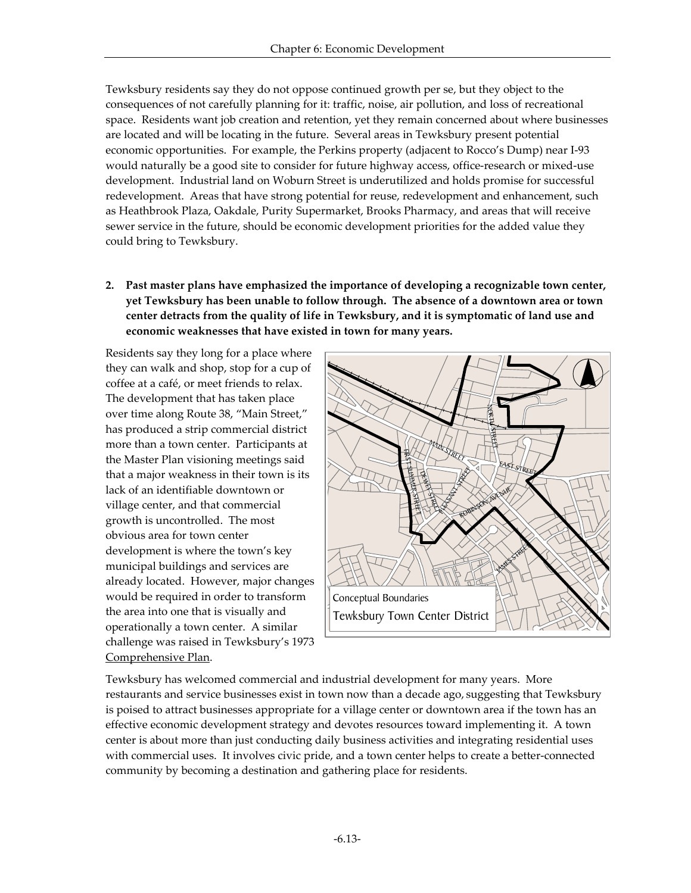Tewksbury residents say they do not oppose continued growth per se, but they object to the consequences of not carefully planning for it: traffic, noise, air pollution, and loss of recreational space. Residents want job creation and retention, yet they remain concerned about where businesses are located and will be locating in the future. Several areas in Tewksbury present potential economic opportunities. For example, the Perkins property (adjacent to Rocco's Dump) near I-93 would naturally be a good site to consider for future highway access, office-research or mixed-use development. Industrial land on Woburn Street is underutilized and holds promise for successful redevelopment. Areas that have strong potential for reuse, redevelopment and enhancement, such as Heathbrook Plaza, Oakdale, Purity Supermarket, Brooks Pharmacy, and areas that will receive sewer service in the future, should be economic development priorities for the added value they could bring to Tewksbury.

**2. Past master plans have emphasized the importance of developing a recognizable town center, yet Tewksbury has been unable to follow through. The absence of a downtown area or town center detracts from the quality of life in Tewksbury, and it is symptomatic of land use and economic weaknesses that have existed in town for many years.**

Residents say they long for a place where they can walk and shop, stop for a cup of coffee at a café, or meet friends to relax. The development that has taken place over time along Route 38, "Main Street," has produced a strip commercial district more than a town center. Participants at the Master Plan visioning meetings said that a major weakness in their town is its lack of an identifiable downtown or village center, and that commercial growth is uncontrolled. The most obvious area for town center development is where the town's key municipal buildings and services are already located. However, major changes would be required in order to transform the area into one that is visually and operationally a town center. A similar challenge was raised in Tewksbury's 1973 Comprehensive Plan.



Tewksbury has welcomed commercial and industrial development for many years. More restaurants and service businesses exist in town now than a decade ago, suggesting that Tewksbury is poised to attract businesses appropriate for a village center or downtown area if the town has an effective economic development strategy and devotes resources toward implementing it. A town center is about more than just conducting daily business activities and integrating residential uses with commercial uses. It involves civic pride, and a town center helps to create a better-connected community by becoming a destination and gathering place for residents.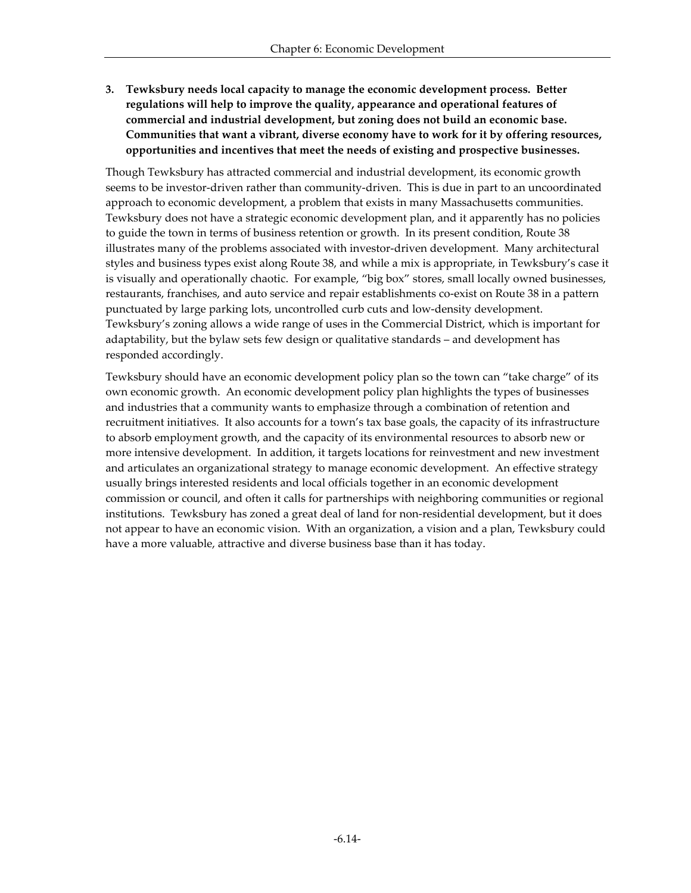**3. Tewksbury needs local capacity to manage the economic development process. Better regulations will help to improve the quality, appearance and operational features of commercial and industrial development, but zoning does not build an economic base. Communities that want a vibrant, diverse economy have to work for it by offering resources, opportunities and incentives that meet the needs of existing and prospective businesses.** 

Though Tewksbury has attracted commercial and industrial development, its economic growth seems to be investor-driven rather than community-driven. This is due in part to an uncoordinated approach to economic development, a problem that exists in many Massachusetts communities. Tewksbury does not have a strategic economic development plan, and it apparently has no policies to guide the town in terms of business retention or growth. In its present condition, Route 38 illustrates many of the problems associated with investor-driven development. Many architectural styles and business types exist along Route 38, and while a mix is appropriate, in Tewksbury's case it is visually and operationally chaotic. For example, "big box" stores, small locally owned businesses, restaurants, franchises, and auto service and repair establishments co-exist on Route 38 in a pattern punctuated by large parking lots, uncontrolled curb cuts and low-density development. Tewksbury's zoning allows a wide range of uses in the Commercial District, which is important for adaptability, but the bylaw sets few design or qualitative standards – and development has responded accordingly.

Tewksbury should have an economic development policy plan so the town can "take charge" of its own economic growth. An economic development policy plan highlights the types of businesses and industries that a community wants to emphasize through a combination of retention and recruitment initiatives. It also accounts for a town's tax base goals, the capacity of its infrastructure to absorb employment growth, and the capacity of its environmental resources to absorb new or more intensive development. In addition, it targets locations for reinvestment and new investment and articulates an organizational strategy to manage economic development. An effective strategy usually brings interested residents and local officials together in an economic development commission or council, and often it calls for partnerships with neighboring communities or regional institutions. Tewksbury has zoned a great deal of land for non-residential development, but it does not appear to have an economic vision. With an organization, a vision and a plan, Tewksbury could have a more valuable, attractive and diverse business base than it has today.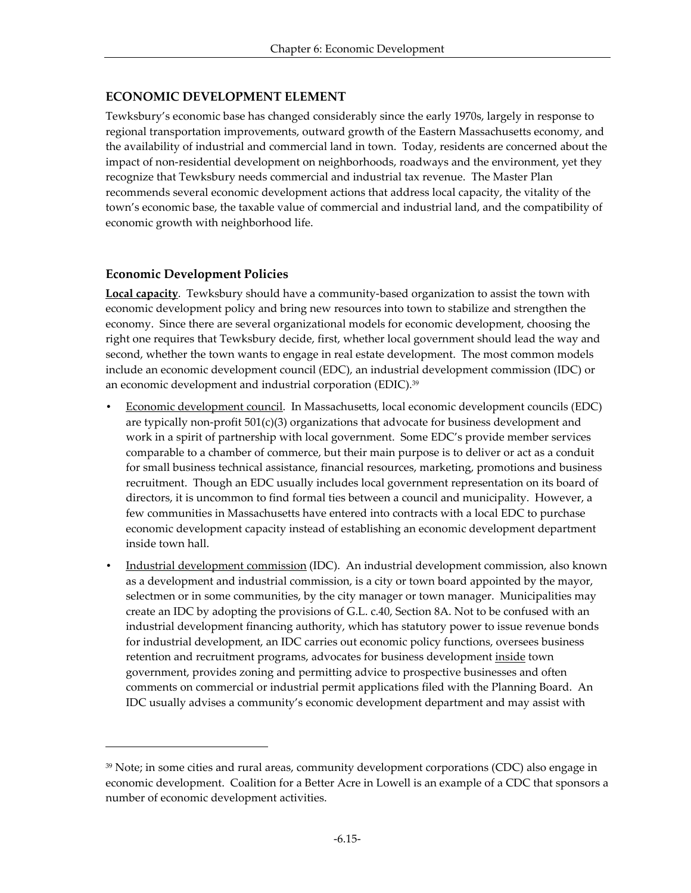# **ECONOMIC DEVELOPMENT ELEMENT**

Tewksbury's economic base has changed considerably since the early 1970s, largely in response to regional transportation improvements, outward growth of the Eastern Massachusetts economy, and the availability of industrial and commercial land in town. Today, residents are concerned about the impact of non-residential development on neighborhoods, roadways and the environment, yet they recognize that Tewksbury needs commercial and industrial tax revenue. The Master Plan recommends several economic development actions that address local capacity, the vitality of the town's economic base, the taxable value of commercial and industrial land, and the compatibility of economic growth with neighborhood life.

# **Economic Development Policies**

-

**Local capacity**. Tewksbury should have a community-based organization to assist the town with economic development policy and bring new resources into town to stabilize and strengthen the economy. Since there are several organizational models for economic development, choosing the right one requires that Tewksbury decide, first, whether local government should lead the way and second, whether the town wants to engage in real estate development. The most common models include an economic development council (EDC), an industrial development commission (IDC) or an economic development and industrial corporation (EDIC).<sup>39</sup>

- Economic development council. In Massachusetts, local economic development councils (EDC) are typically non-profit  $501(c)(3)$  organizations that advocate for business development and work in a spirit of partnership with local government. Some EDC's provide member services comparable to a chamber of commerce, but their main purpose is to deliver or act as a conduit for small business technical assistance, financial resources, marketing, promotions and business recruitment. Though an EDC usually includes local government representation on its board of directors, it is uncommon to find formal ties between a council and municipality. However, a few communities in Massachusetts have entered into contracts with a local EDC to purchase economic development capacity instead of establishing an economic development department inside town hall.
- Industrial development commission (IDC). An industrial development commission, also known as a development and industrial commission, is a city or town board appointed by the mayor, selectmen or in some communities, by the city manager or town manager. Municipalities may create an IDC by adopting the provisions of G.L. c.40, Section 8A. Not to be confused with an industrial development financing authority, which has statutory power to issue revenue bonds for industrial development, an IDC carries out economic policy functions, oversees business retention and recruitment programs, advocates for business development inside town government, provides zoning and permitting advice to prospective businesses and often comments on commercial or industrial permit applications filed with the Planning Board. An IDC usually advises a community's economic development department and may assist with

<sup>&</sup>lt;sup>39</sup> Note; in some cities and rural areas, community development corporations (CDC) also engage in economic development. Coalition for a Better Acre in Lowell is an example of a CDC that sponsors a number of economic development activities.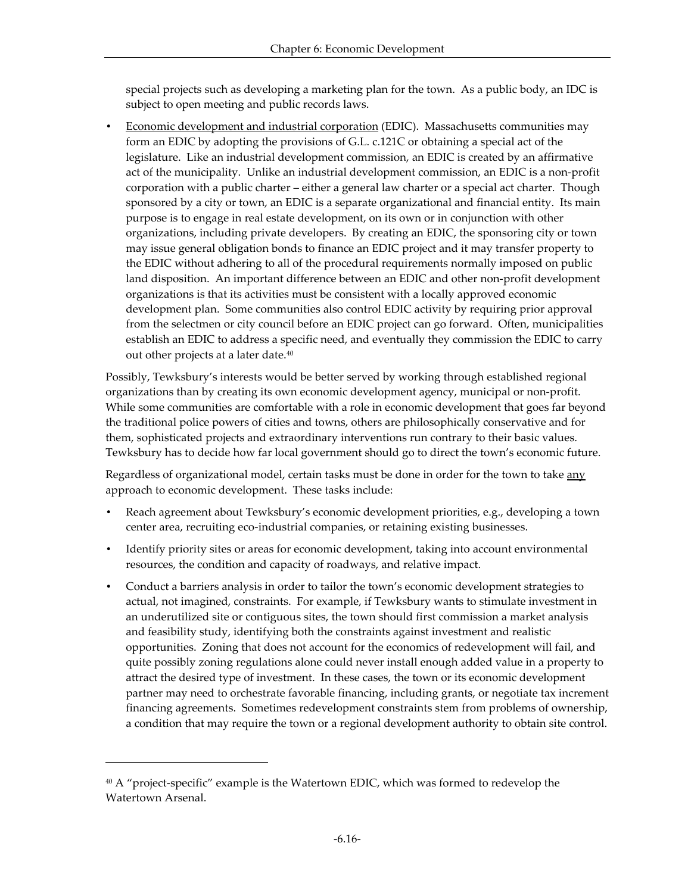special projects such as developing a marketing plan for the town. As a public body, an IDC is subject to open meeting and public records laws.

• Economic development and industrial corporation (EDIC). Massachusetts communities may form an EDIC by adopting the provisions of G.L. c.121C or obtaining a special act of the legislature. Like an industrial development commission, an EDIC is created by an affirmative act of the municipality. Unlike an industrial development commission, an EDIC is a non-profit corporation with a public charter – either a general law charter or a special act charter. Though sponsored by a city or town, an EDIC is a separate organizational and financial entity. Its main purpose is to engage in real estate development, on its own or in conjunction with other organizations, including private developers. By creating an EDIC, the sponsoring city or town may issue general obligation bonds to finance an EDIC project and it may transfer property to the EDIC without adhering to all of the procedural requirements normally imposed on public land disposition. An important difference between an EDIC and other non-profit development organizations is that its activities must be consistent with a locally approved economic development plan. Some communities also control EDIC activity by requiring prior approval from the selectmen or city council before an EDIC project can go forward. Often, municipalities establish an EDIC to address a specific need, and eventually they commission the EDIC to carry out other projects at a later date.<sup>40</sup>

Possibly, Tewksbury's interests would be better served by working through established regional organizations than by creating its own economic development agency, municipal or non-profit. While some communities are comfortable with a role in economic development that goes far beyond the traditional police powers of cities and towns, others are philosophically conservative and for them, sophisticated projects and extraordinary interventions run contrary to their basic values. Tewksbury has to decide how far local government should go to direct the town's economic future.

Regardless of organizational model, certain tasks must be done in order for the town to take any approach to economic development. These tasks include:

- Reach agreement about Tewksbury's economic development priorities, e.g., developing a town center area, recruiting eco-industrial companies, or retaining existing businesses.
- Identify priority sites or areas for economic development, taking into account environmental resources, the condition and capacity of roadways, and relative impact.
- Conduct a barriers analysis in order to tailor the town's economic development strategies to actual, not imagined, constraints. For example, if Tewksbury wants to stimulate investment in an underutilized site or contiguous sites, the town should first commission a market analysis and feasibility study, identifying both the constraints against investment and realistic opportunities. Zoning that does not account for the economics of redevelopment will fail, and quite possibly zoning regulations alone could never install enough added value in a property to attract the desired type of investment. In these cases, the town or its economic development partner may need to orchestrate favorable financing, including grants, or negotiate tax increment financing agreements. Sometimes redevelopment constraints stem from problems of ownership, a condition that may require the town or a regional development authority to obtain site control.

 $40$  A "project-specific" example is the Watertown EDIC, which was formed to redevelop the Watertown Arsenal.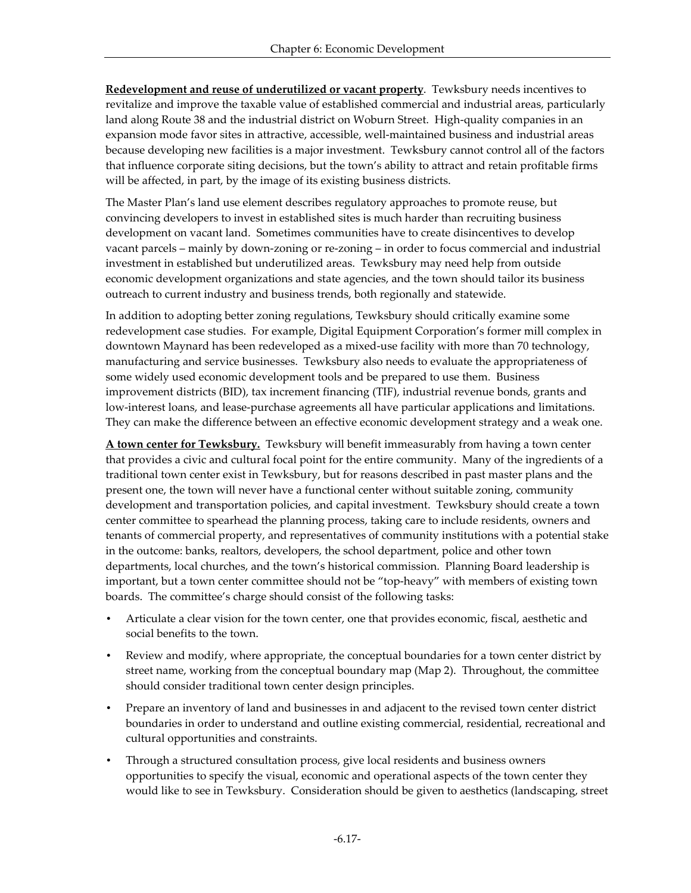**Redevelopment and reuse of underutilized or vacant property**. Tewksbury needs incentives to revitalize and improve the taxable value of established commercial and industrial areas, particularly land along Route 38 and the industrial district on Woburn Street. High-quality companies in an expansion mode favor sites in attractive, accessible, well-maintained business and industrial areas because developing new facilities is a major investment. Tewksbury cannot control all of the factors that influence corporate siting decisions, but the town's ability to attract and retain profitable firms will be affected, in part, by the image of its existing business districts.

The Master Plan's land use element describes regulatory approaches to promote reuse, but convincing developers to invest in established sites is much harder than recruiting business development on vacant land. Sometimes communities have to create disincentives to develop vacant parcels – mainly by down-zoning or re-zoning – in order to focus commercial and industrial investment in established but underutilized areas. Tewksbury may need help from outside economic development organizations and state agencies, and the town should tailor its business outreach to current industry and business trends, both regionally and statewide.

In addition to adopting better zoning regulations, Tewksbury should critically examine some redevelopment case studies. For example, Digital Equipment Corporation's former mill complex in downtown Maynard has been redeveloped as a mixed-use facility with more than 70 technology, manufacturing and service businesses. Tewksbury also needs to evaluate the appropriateness of some widely used economic development tools and be prepared to use them. Business improvement districts (BID), tax increment financing (TIF), industrial revenue bonds, grants and low-interest loans, and lease-purchase agreements all have particular applications and limitations. They can make the difference between an effective economic development strategy and a weak one.

**A town center for Tewksbury.** Tewksbury will benefit immeasurably from having a town center that provides a civic and cultural focal point for the entire community. Many of the ingredients of a traditional town center exist in Tewksbury, but for reasons described in past master plans and the present one, the town will never have a functional center without suitable zoning, community development and transportation policies, and capital investment. Tewksbury should create a town center committee to spearhead the planning process, taking care to include residents, owners and tenants of commercial property, and representatives of community institutions with a potential stake in the outcome: banks, realtors, developers, the school department, police and other town departments, local churches, and the town's historical commission. Planning Board leadership is important, but a town center committee should not be "top-heavy" with members of existing town boards. The committee's charge should consist of the following tasks:

- Articulate a clear vision for the town center, one that provides economic, fiscal, aesthetic and social benefits to the town.
- Review and modify, where appropriate, the conceptual boundaries for a town center district by street name, working from the conceptual boundary map (Map 2). Throughout, the committee should consider traditional town center design principles.
- Prepare an inventory of land and businesses in and adjacent to the revised town center district boundaries in order to understand and outline existing commercial, residential, recreational and cultural opportunities and constraints.
- Through a structured consultation process, give local residents and business owners opportunities to specify the visual, economic and operational aspects of the town center they would like to see in Tewksbury. Consideration should be given to aesthetics (landscaping, street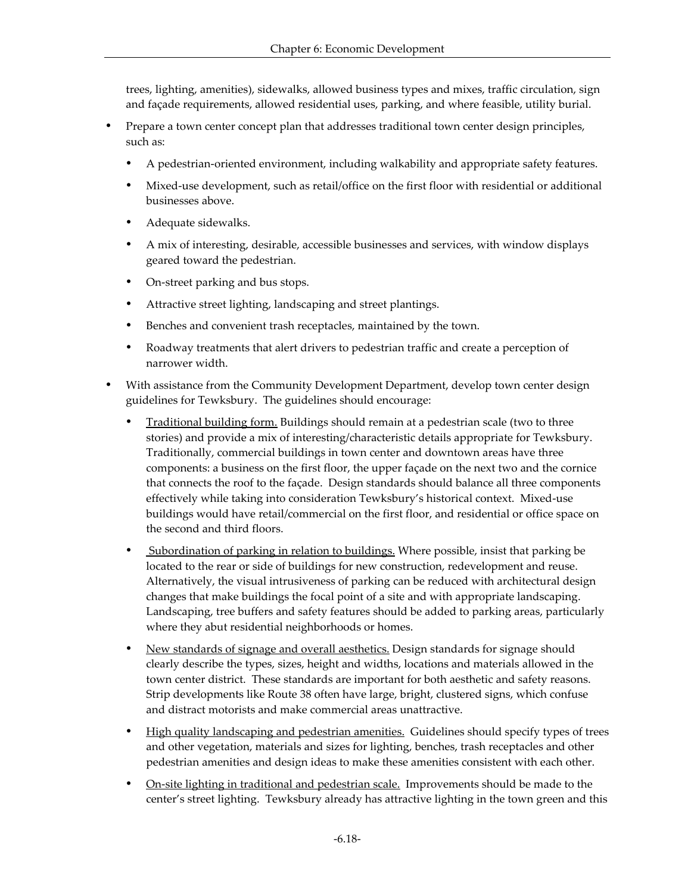trees, lighting, amenities), sidewalks, allowed business types and mixes, traffic circulation, sign and façade requirements, allowed residential uses, parking, and where feasible, utility burial.

- Prepare a town center concept plan that addresses traditional town center design principles, such as:
	- ü A pedestrian-oriented environment, including walkability and appropriate safety features.
	- ü Mixed-use development, such as retail/office on the first floor with residential or additional businesses above.
	- Adequate sidewalks.
	- ü A mix of interesting, desirable, accessible businesses and services, with window displays geared toward the pedestrian.
	- On-street parking and bus stops.
	- Attractive street lighting, landscaping and street plantings.
	- Benches and convenient trash receptacles, maintained by the town.
	- ü Roadway treatments that alert drivers to pedestrian traffic and create a perception of narrower width.
- With assistance from the Community Development Department, develop town center design guidelines for Tewksbury. The guidelines should encourage:
	- ü Traditional building form. Buildings should remain at a pedestrian scale (two to three stories) and provide a mix of interesting/characteristic details appropriate for Tewksbury. Traditionally, commercial buildings in town center and downtown areas have three components: a business on the first floor, the upper façade on the next two and the cornice that connects the roof to the façade. Design standards should balance all three components effectively while taking into consideration Tewksbury's historical context. Mixed-use buildings would have retail/commercial on the first floor, and residential or office space on the second and third floors.
	- Subordination of parking in relation to buildings. Where possible, insist that parking be located to the rear or side of buildings for new construction, redevelopment and reuse. Alternatively, the visual intrusiveness of parking can be reduced with architectural design changes that make buildings the focal point of a site and with appropriate landscaping. Landscaping, tree buffers and safety features should be added to parking areas, particularly where they abut residential neighborhoods or homes.
	- New standards of signage and overall aesthetics. Design standards for signage should clearly describe the types, sizes, height and widths, locations and materials allowed in the town center district. These standards are important for both aesthetic and safety reasons. Strip developments like Route 38 often have large, bright, clustered signs, which confuse and distract motorists and make commercial areas unattractive.
	- High quality landscaping and pedestrian amenities. Guidelines should specify types of trees and other vegetation, materials and sizes for lighting, benches, trash receptacles and other pedestrian amenities and design ideas to make these amenities consistent with each other.
	- <u>On-site lighting in traditional and pedestrian scale.</u> Improvements should be made to the center's street lighting. Tewksbury already has attractive lighting in the town green and this